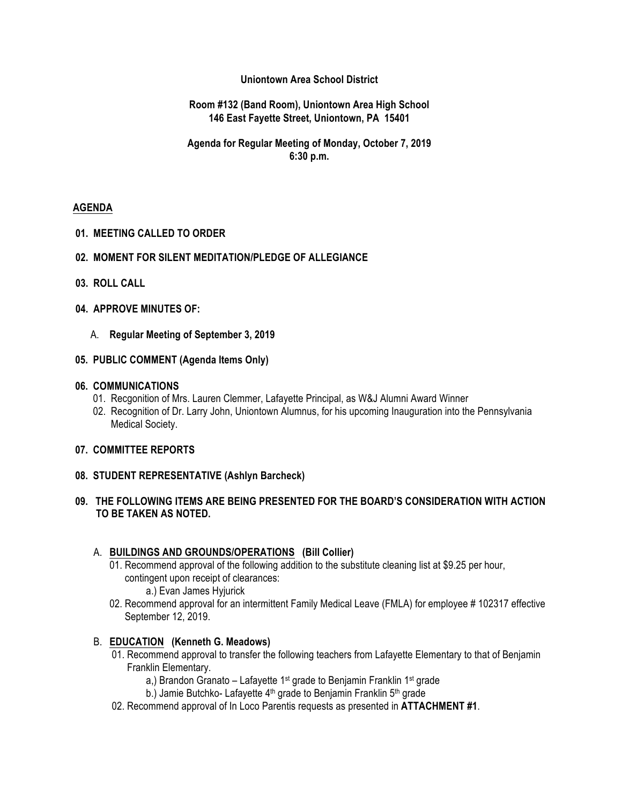## **Uniontown Area School District**

### **Room #132 (Band Room), Uniontown Area High School 146 East Fayette Street, Uniontown, PA 15401**

## **Agenda for Regular Meeting of Monday, October 7, 2019 6:30 p.m.**

## **AGENDA**

### **01. MEETING CALLED TO ORDER**

### **02. MOMENT FOR SILENT MEDITATION/PLEDGE OF ALLEGIANCE**

- **03. ROLL CALL**
- **04. APPROVE MINUTES OF:**
	- A. **Regular Meeting of September 3, 2019**

### **05. PUBLIC COMMENT (Agenda Items Only)**

### **06. COMMUNICATIONS**

- 01. Recgonition of Mrs. Lauren Clemmer, Lafayette Principal, as W&J Alumni Award Winner
- 02. Recognition of Dr. Larry John, Uniontown Alumnus, for his upcoming Inauguration into the Pennsylvania Medical Society.

### **07. COMMITTEE REPORTS**

### **08. STUDENT REPRESENTATIVE (Ashlyn Barcheck)**

# **09. THE FOLLOWING ITEMS ARE BEING PRESENTED FOR THE BOARD'S CONSIDERATION WITH ACTION TO BE TAKEN AS NOTED.**

### A. **BUILDINGS AND GROUNDS/OPERATIONS (Bill Collier)**

- 01. Recommend approval of the following addition to the substitute cleaning list at \$9.25 per hour, contingent upon receipt of clearances:
	- a.) Evan James Hyjurick
- 02. Recommend approval for an intermittent Family Medical Leave (FMLA) for employee # 102317 effective September 12, 2019.

# B. **EDUCATION (Kenneth G. Meadows)**

- 01. Recommend approval to transfer the following teachers from Lafayette Elementary to that of Benjamin Franklin Elementary.
	- a,) Brandon Granato Lafayette 1<sup>st</sup> grade to Benjamin Franklin 1<sup>st</sup> grade
	- b.) Jamie Butchko- Lafayette 4<sup>th</sup> grade to Benjamin Franklin 5<sup>th</sup> grade
- 02. Recommend approval of In Loco Parentis requests as presented in **ATTACHMENT #1**.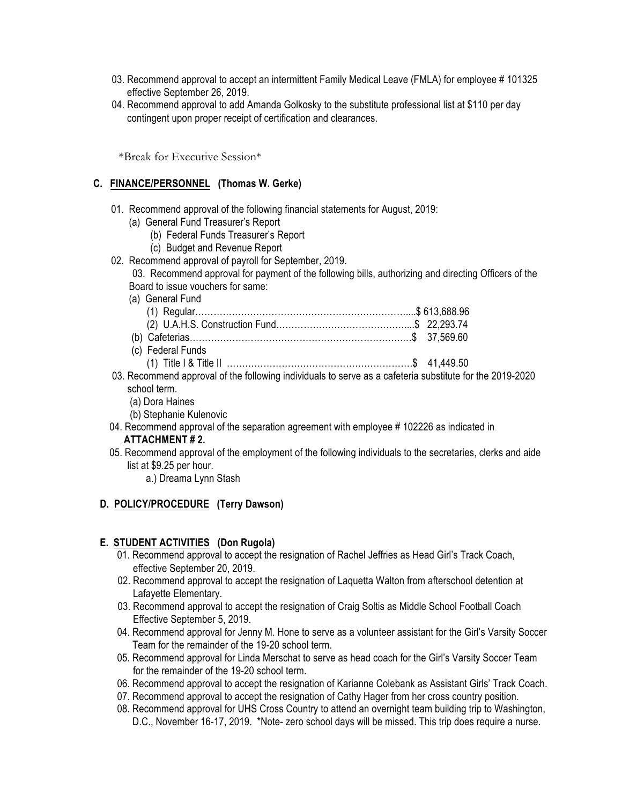- 03. Recommend approval to accept an intermittent Family Medical Leave (FMLA) for employee #101325 effective September 26, 2019.
- 04. Recommend approval to add Amanda Golkosky to the substitute professional list at \$110 per day contingent upon proper receipt of certification and clearances.

\*Break for Executive Session\*

### **C. FINANCE/PERSONNEL (Thomas W. Gerke)**

- 01. Recommend approval of the following financial statements for August, 2019:
	- (a) General Fund Treasurer's Report
		- (b) Federal Funds Treasurer's Report
		- (c) Budget and Revenue Report
- 02. Recommend approval of payroll for September, 2019.

 03. Recommend approval for payment of the following bills, authorizing and directing Officers of the Board to issue vouchers for same:

(a) General Fund

| (c) Federal Funds |  |
|-------------------|--|
|                   |  |

- 03. Recommend approval of the following individuals to serve as a cafeteria substitute for the 2019-2020 school term.
	- (a) Dora Haines
	- (b) Stephanie Kulenovic
- 04. Recommend approval of the separation agreement with employee # 102226 as indicated in **ATTACHMENT # 2.**
- 05. Recommend approval of the employment of the following individuals to the secretaries, clerks and aide list at \$9.25 per hour.
	- a.) Dreama Lynn Stash

### **D. POLICY/PROCEDURE (Terry Dawson)**

### **E. STUDENT ACTIVITIES (Don Rugola)**

- 01. Recommend approval to accept the resignation of Rachel Jeffries as Head Girl's Track Coach, effective September 20, 2019.
- 02. Recommend approval to accept the resignation of Laquetta Walton from afterschool detention at Lafayette Elementary.
- 03. Recommend approval to accept the resignation of Craig Soltis as Middle School Football Coach Effective September 5, 2019.
- 04. Recommend approval for Jenny M. Hone to serve as a volunteer assistant for the Girl's Varsity Soccer Team for the remainder of the 19-20 school term.
- 05. Recommend approval for Linda Merschat to serve as head coach for the Girl's Varsity Soccer Team for the remainder of the 19-20 school term.
- 06. Recommend approval to accept the resignation of Karianne Colebank as Assistant Girls' Track Coach.
- 07. Recommend approval to accept the resignation of Cathy Hager from her cross country position.
- 08. Recommend approval for UHS Cross Country to attend an overnight team building trip to Washington, D.C., November 16-17, 2019. \*Note- zero school days will be missed. This trip does require a nurse.